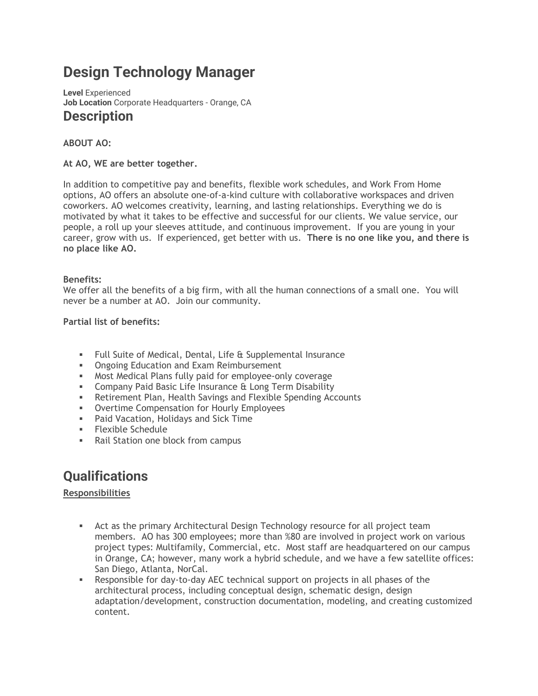# **Design Technology Manager**

**Level** Experienced **Job Location** Corporate Headquarters - Orange, CA **Description**

# **ABOUT AO:**

#### **At AO, WE are better together.**

In addition to competitive pay and benefits, flexible work schedules, and Work From Home options, AO offers an absolute one-of-a-kind culture with collaborative workspaces and driven coworkers. AO welcomes creativity, learning, and lasting relationships. Everything we do is motivated by what it takes to be effective and successful for our clients. We value service, our people, a roll up your sleeves attitude, and continuous improvement. If you are young in your career, grow with us. If experienced, get better with us. **There is no one like you, and there is no place like AO.**

#### **Benefits:**

We offer all the benefits of a big firm, with all the human connections of a small one. You will never be a number at AO. Join our community.

#### **Partial list of benefits:**

- Full Suite of Medical, Dental, Life & Supplemental Insurance
- **Ongoing Education and Exam Reimbursement**
- Most Medical Plans fully paid for employee-only coverage
- **EXEDENCIPE THE COMPANY PAID BASIC Life Insurance & Long Term Disability**
- **EXECT:** Retirement Plan, Health Savings and Flexible Spending Accounts
- **Overtime Compensation for Hourly Employees**
- Paid Vacation, Holidays and Sick Time
- Flexible Schedule
- Rail Station one block from campus

# **Qualifications**

# **Responsibilities**

- **EXECT** Act as the primary Architectural Design Technology resource for all project team members. AO has 300 employees; more than %80 are involved in project work on various project types: Multifamily, Commercial, etc. Most staff are headquartered on our campus in Orange, CA; however, many work a hybrid schedule, and we have a few satellite offices: San Diego, Atlanta, NorCal.
- **EXECT** Responsible for day-to-day AEC technical support on projects in all phases of the architectural process, including conceptual design, schematic design, design adaptation/development, construction documentation, modeling, and creating customized content.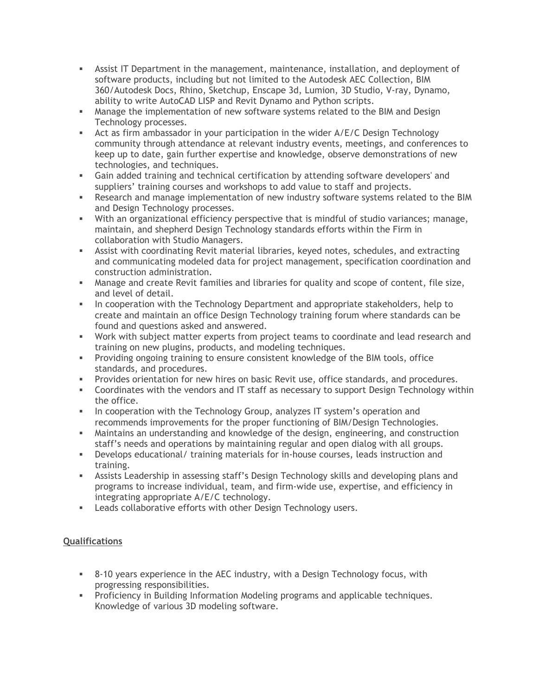- **EXECT** Assist IT Department in the management, maintenance, installation, and deployment of software products, including but not limited to the Autodesk AEC Collection, BIM 360/Autodesk Docs, Rhino, Sketchup, Enscape 3d, Lumion, 3D Studio, V-ray, Dynamo, ability to write AutoCAD LISP and Revit Dynamo and Python scripts.
- **■** Manage the implementation of new software systems related to the BIM and Design Technology processes.
- **EXECT** Act as firm ambassador in your participation in the wider A/E/C Design Technology community through attendance at relevant industry events, meetings, and conferences to keep up to date, gain further expertise and knowledge, observe demonstrations of new technologies, and techniques.
- **•** Gain added training and technical certification by attending software developers' and suppliers' training courses and workshops to add value to staff and projects.
- **EXE** Research and manage implementation of new industry software systems related to the BIM and Design Technology processes.
- With an organizational efficiency perspective that is mindful of studio variances; manage, maintain, and shepherd Design Technology standards efforts within the Firm in collaboration with Studio Managers.
- **EXECT** Assist with coordinating Revit material libraries, keyed notes, schedules, and extracting and communicating modeled data for project management, specification coordination and construction administration.
- **EXECT** Manage and create Revit families and libraries for quality and scope of content, file size, and level of detail.
- **.** In cooperation with the Technology Department and appropriate stakeholders, help to create and maintain an office Design Technology training forum where standards can be found and questions asked and answered.
- Work with subject matter experts from project teams to coordinate and lead research and training on new plugins, products, and modeling techniques.
- **•** Providing ongoing training to ensure consistent knowledge of the BIM tools, office standards, and procedures.
- **•** Provides orientation for new hires on basic Revit use, office standards, and procedures.
- **EXEDENT A** Coordinates with the vendors and IT staff as necessary to support Design Technology within the office.
- **•** In cooperation with the Technology Group, analyzes IT system's operation and recommends improvements for the proper functioning of BIM/Design Technologies.
- **■** Maintains an understanding and knowledge of the design, engineering, and construction staff's needs and operations by maintaining regular and open dialog with all groups.
- Develops educational/ training materials for in-house courses, leads instruction and training.
- **EXECTS Leadership in assessing staff's Design Technology skills and developing plans and State 3.** programs to increase individual, team, and firm-wide use, expertise, and efficiency in integrating appropriate A/E/C technology.
- **EXECT** Leads collaborative efforts with other Design Technology users.

# **Qualifications**

- 8-10 years experience in the AEC industry, with a Design Technology focus, with progressing responsibilities.
- Proficiency in Building Information Modeling programs and applicable techniques. Knowledge of various 3D modeling software.